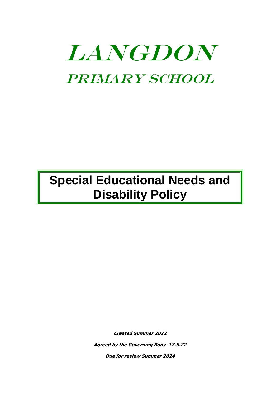# LANGDON Primary School

## **Special Educational Needs and Disability Policy**

**Created Summer 2022 Agreed by the Governing Body 17.5.22**

**Due for review Summer 2024**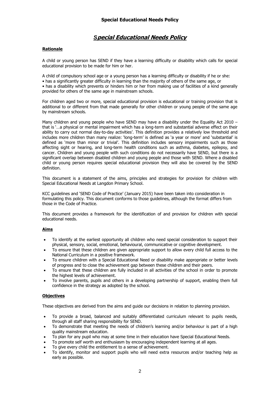### *S***pecial Educational Needs Policy**

#### **Rationale**

A child or young person has SEND if they have a learning difficulty or disability which calls for special educational provision to be made for him or her.

A child of compulsory school age or a young person has a learning difficulty or disability if he or she:

• has a significantly greater difficulty in learning than the majority of others of the same age, or

• has a disability which prevents or hinders him or her from making use of facilities of a kind generally provided for others of the same age in mainstream schools.

For children aged two or more, special educational provision is educational or training provision that is additional to or different from that made generally for other children or young people of the same age by mainstream schools.

Many children and young people who have SEND may have a disability under the Equality Act 2010 – that is '…a physical or mental impairment which has a long-term and substantial adverse effect on their ability to carry out normal day-to-day activities'. This definition provides a relatively low threshold and includes more children than many realize: 'long-term' is defined as 'a year or more' and 'substantial' is defined as 'more than minor or trivial'. This definition includes sensory impairments such as those affecting sight or hearing, and long-term health conditions such as asthma, diabetes, epilepsy, and cancer. Children and young people with such conditions do not necessarily have SEND, but there is a significant overlap between disabled children and young people and those with SEND. Where a disabled child or young person requires special educational provision they will also be covered by the SEND definition.

This document is a statement of the aims, principles and strategies for provision for children with Special Educational Needs at Langdon Primary School.

KCC guidelines and 'SEND Code of Practice' (January 2015) have been taken into consideration in formulating this policy. This document conforms to those guidelines, although the format differs from those in the Code of Practice.

This document provides a framework for the identification of and provision for children with special educational needs.

#### **Aims**

- To identify at the earliest opportunity all children who need special consideration to support their physical, sensory, social, emotional, behavioural, communicative or cognitive development.
- To ensure that these children are given appropriate support to allow every child full access to the National Curriculum in a positive framework.
- To ensure children with a Special Educational Need or disability make appropriate or better levels of progress and to close the achievement gap between these children and their peers.
- To ensure that these children are fully included in all activities of the school in order to promote the highest levels of achievement.
- To involve parents, pupils and others in a developing partnership of support, enabling them full confidence in the strategy as adopted by the school.

#### **Objectives**

These objectives are derived from the aims and guide our decisions in relation to planning provision.

- To provide a broad, balanced and suitably differentiated curriculum relevant to pupils needs, through all staff sharing responsibility for SEND.
- To demonstrate that meeting the needs of children's learning and/or behaviour is part of a high quality mainstream education.
- To plan for any pupil who may at some time in their education have Special Educational Needs.
- To promote self worth and enthusiasm by encouraging independent learning at all ages.
- To give every child the entitlement to a sense of achievement.
- To identify, monitor and support pupils who will need extra resources and/or teaching help as early as possible.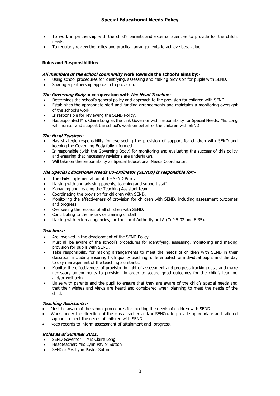- To work in partnership with the child's parents and external agencies to provide for the child's needs.
- To regularly review the policy and practical arrangements to achieve best value.

#### **Roles and Responsibilities**

#### **All members of the school community work towards the school's aims by:-**

- Using school procedures for identifying, assessing and making provision for pupils with SEND.
- Sharing a partnership approach to provision.

#### **The Governing Body in co-operation with the Head Teacher:-**

- Determines the school's general policy and approach to the provision for children with SEND.
- Establishes the appropriate staff and funding arrangements and maintains a monitoring oversight of the school's work.
- Is responsible for reviewing the SEND Policy.
- Has appointed Mrs Claire Long as the Link Governor with responsibility for Special Needs. Mrs Long will monitor and support the school's work on behalf of the children with SEND.

#### **The Head Teacher:-**

- Has strategic responsibility for overseeing the provision of support for children with SEND and keeping the Governing Body fully informed.
- Is responsible (with the Governing Body) for monitoring and evaluating the success of this policy and ensuring that necessary revisions are undertaken.
- Will take on the responsibility as Special Educational Needs Coordinator.

#### **The Special Educational Needs Co-ordinator (SENCo) is responsible for:-**

- The daily implementation of the SEND Policy.
- Liaising with and advising parents, teaching and support staff.
- Managing and Leading the Teaching Assistant team.
- Coordinating the provision for children with SEND.
- Monitoring the effectiveness of provision for children with SEND, including assessment outcomes and progress.
- Overseeing the records of all children with SEND.
- Contributing to the in-service training of staff.
- Liaising with external agencies, inc the Local Authority or LA (CoP 5:32 and 6:35).

#### **Teachers:-**

- Are involved in the development of the SEND Policy.
- Must all be aware of the school's procedures for identifying, assessing, monitoring and making provision for pupils with SEND.
- Take responsibility for making arrangements to meet the needs of children with SEND in their classroom including ensuring high quality teaching, differentiated for individual pupils and the day to day management of the teaching assistants.
- Monitor the effectiveness of provision in light of assessment and progress tracking data, and make necessary amendments to provision in order to secure good outcomes for the child's learning and/or well being.
- Liaise with parents and the pupil to ensure that they are aware of the child's special needs and that their wishes and views are heard and considered when planning to meet the needs of the child.

#### **Teaching Assistants:-**

- Must be aware of the school procedures for meeting the needs of children with SEND.
- Work, under the direction of the class teacher and/or SENCo, to provide appropriate and tailored support to meet the needs of children with SEND.
- Keep records to inform assessment of attainment and progress.

#### **Roles as of Summer 2021:**

- SEND Governor: Mrs Claire Long
- Headteacher: Mrs Lynn Paylor Sutton
- SENCo: Mrs Lynn Paylor Sutton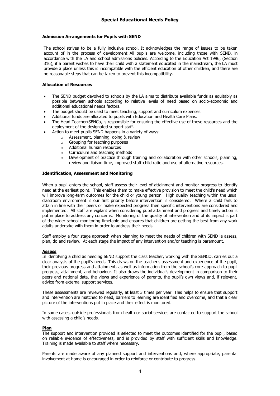#### **Admission Arrangements for Pupils with SEND**

The school strives to be a fully inclusive school. It acknowledges the range of issues to be taken account of in the process of development All pupils are welcome, including those with SEND, in accordance with the LA and school admissions policies. According to the Education Act 1996, (Section 316), if a parent wishes to have their child with a statement educated in the mainstream, the LA must provide a place unless this is incompatible with the efficient education of other children, and there are no reasonable steps that can be taken to prevent this incompatibility.

#### **Allocation of Resources**

- The SEND budget devolved to schools by the LA aims to distribute available funds as equitably as possible between schools according to relative levels of need based on socio-economic and additional educational needs factors.
- The budget should be used to meet teaching, support and curriculum expenses.
- Additional funds are allocated to pupils with Education and Health Care Plans.
- The Head Teacher/SENCo, is responsible for ensuring the effective use of these resources and the deployment of the designated support staff.
	- Action to meet pupils SEND happens in a variety of ways:
		- o Assessment, planning, doing & review
		- o Grouping for teaching purposes
		- o Additional human resources
		- o Curriculum and teaching methods
		- $\circ$  Development of practice through training and collaboration with other schools, planning, review and liaison time, improved staff-child ratio and use of alternative resources.

#### **Identification, Assessment and Monitoring**

When a pupil enters the school, staff assess their level of attainment and monitor progress to identify need at the earliest point. This enables them to make effective provision to meet the child's need which will improve long-term outcomes for the child or young person. High quality teaching within the usual classroom environment is our first priority before intervention is considered. Where a child fails to attain in line with their peers or make expected progress then specific interventions are considered and implemented. All staff are vigilant when considering pupil attainment and progress and timely action is put in place to address any concerns. Monitoring of the quality of intervention and of its impact is part of the wider school monitoring timetable and ensures that children are getting the best from any work adults undertake with them in order to address their needs.

Staff employ a four stage approach when planning to meet the needs of children with SEND ie assess, plan, do and review. At each stage the impact of any intervention and/or teaching is paramount.

#### **Assess**

In identifying a child as needing SEND support the class teacher, working with the SENCO, carries out a clear analysis of the pupil's needs. This draws on the teacher's assessment and experience of the pupil, their previous progress and attainment, as well as information from the school's core approach to pupil progress, attainment, and behaviour. It also draws the individual's development in comparison to their peers and national data, the views and experience of parents, the pupil's own views and, if relevant, advice from external support services.

These assessments are reviewed regularly, at least 3 times per year. This helps to ensure that support and intervention are matched to need, barriers to learning are identified and overcome, and that a clear picture of the interventions put in place and their effect is monitored.

In some cases, outside professionals from health or social services are contacted to support the school with assessing a child's needs.

#### **Plan**

The support and intervention provided is selected to meet the outcomes identified for the pupil, based on reliable evidence of effectiveness, and is provided by staff with sufficient skills and knowledge. Training is made available to staff where necessary.

Parents are made aware of any planned support and interventions and, where appropriate, parental involvement at home is encouraged in order to reinforce or contribute to progress.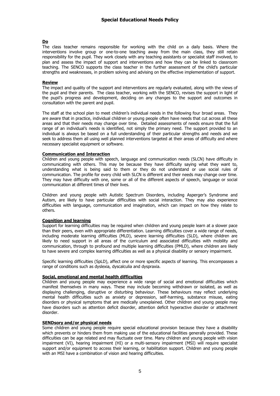#### **Do**

The class teacher remains responsible for working with the child on a daily basis. Where the interventions involve group or one-to-one teaching away from the main class, they still retain responsibility for the pupil. They work closely with any teaching assistants or specialist staff involved, to plan and assess the impact of support and interventions and how they can be linked to classroom teaching. The SENCO supports the class teacher in the further assessment of the child's particular strengths and weaknesses, in problem solving and advising on the effective implementation of support.

#### **Review**

The impact and quality of the support and interventions are regularly evaluated, along with the views of the pupil and their parents. The class teacher, working with the SENCO, revises the support in light of the pupil's progress and development, deciding on any changes to the support and outcomes in consultation with the parent and pupil.

The staff at the school plan to meet children's individual needs in the following four broad areas. They are aware that in practice, individual children or young people often have needs that cut across all these areas and that their needs may change over time. Detailed assessments of needs ensure that the full range of an individual's needs is identified, not simply the primary need. The support provided to an individual is always be based on a full understanding of their particular strengths and needs and we seek to address them all using well planned interventions targeted at their areas of difficulty and where necessary specialist equipment or software.

#### **Communication and Interaction**

Children and young people with speech, language and communication needs (SLCN) have difficulty in communicating with others. This may be because they have difficulty saying what they want to, understanding what is being said to them or they do not understand or use social rules of communication. The profile for every child with SLCN is different and their needs may change over time. They may have difficulty with one, some or all of the different aspects of speech, language or social communication at different times of their lives.

Children and young people with Autistic Spectrum Disorders, including Asperger's Syndrome and Autism, are likely to have particular difficulties with social interaction. They may also experience difficulties with language, communication and imagination, which can impact on how they relate to others.

#### **Cognition and learning**

Support for learning difficulties may be required when children and young people learn at a slower pace than their peers, even with appropriate differentiation. Learning difficulties cover a wide range of needs, including moderate learning difficulties (MLD), severe learning difficulties (SLD), where children are likely to need support in all areas of the curriculum and associated difficulties with mobility and communication, through to profound and multiple learning difficulties (PMLD), where children are likely to have severe and complex learning difficulties as well as a physical disability or sensory impairment.

Specific learning difficulties (SpLD), affect one or more specific aspects of learning. This encompasses a range of conditions such as dyslexia, dyscalculia and dyspraxia.

#### **Social, emotional and mental health difficulties**

Children and young people may experience a wide range of social and emotional difficulties which manifest themselves in many ways. These may include becoming withdrawn or isolated, as well as displaying challenging, disruptive or disturbing behaviour. These behaviours may reflect underlying mental health difficulties such as anxiety or depression, self-harming, substance misuse, eating disorders or physical symptoms that are medically unexplained. Other children and young people may have disorders such as attention deficit disorder, attention deficit hyperactive disorder or attachment disorder.

#### **SENDsory and/or physical needs**

Some children and young people require special educational provision because they have a disability which prevents or hinders them from making use of the educational facilities generally provided. These difficulties can be age related and may fluctuate over time. Many children and young people with vision impairment (VI), hearing impairment (HI) or a multi-sensory impairment (MSI) will require specialist support and/or equipment to access their learning, or habilitation support. Children and young people with an MSI have a combination of vision and hearing difficulties.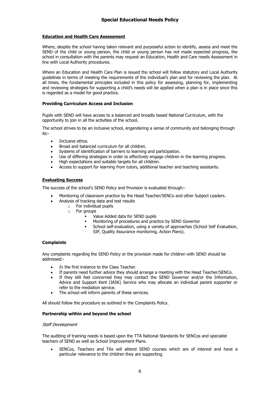#### **Education and Health Care Assessment**

Where, despite the school having taken relevant and purposeful action to identify, assess and meet the SEND of the child or young person, the child or young person has not made expected progress, the school in consultation with the parents may request an Education, Health and Care needs Assessment in line with Local Authority procedures.

Where an Education and Health Care Plan is issued the school will follow statutory and Local Authority guidelines in terms of meeting the requirements of the individual's plan and for reviewing the plan. At all times, the fundamental principles included in this policy for assessing, planning for, implementing and reviewing strategies for supporting a child's needs will be applied when a plan is in place since this is regarded as a model for good practice.

#### **Providing Curriculum Access and Inclusion**

Pupils with SEND will have access to a balanced and broadly based National Curriculum, with the opportunity to join in all the activities of the school.

The school strives to be an inclusive school, engendering a sense of community and belonging through its:-

- Inclusive ethos.
- Broad and balanced curriculum for all children.
- Systems of identification of barriers to learning and participation.
- Use of differing strategies in order to effectively engage children in the learning progress.
- High expectations and suitable targets for all children.
- Access to support for learning from tutors, additional teacher and teaching assistants.

#### **Evaluating Success**

The success of the school's SEND Policy and Provision is evaluated through:-

- Monitoring of classroom practice by the Head Teacher/SENCo and other Subject Leaders.
	- Analysis of tracking data and test results
		- $\circ$  For individual pupils
		- o For groups
			- Value Added data for SEND pupils
			- Monitoring of procedures and practice by SEND Governor
			- **EXECT** School self-evaluation, using a variety of approaches (School Self Evaluation, SIP, Quality Assurance monitoring, Action Plans).

#### **Complaints**

Any complaints regarding the SEND Policy or the provision made for children with SEND should be addressed:-

- In the first instance to the Class Teacher.
- If parents need further advice they should arrange a meeting with the Head Teacher/SENCo.
- If they still feel concerned they may contact the SEND Governor and/or the Information, Advice and Support Kent (IASK) Service who may allocate an individual parent supporter or refer to the mediation service.
- The school will inform parents of these services.

All should follow the procedure as outlined in the Complaints Policy.

#### **Partnership within and beyond the school**

#### Staff Development

The auditing of training needs is based upon the TTA National Standards for SENCos and specialist teachers of SEND as well as School Improvement Plans.

• SENCos, Teachers and TAs will attend SEND courses which are of interest and have a particular relevance to the children they are supporting.